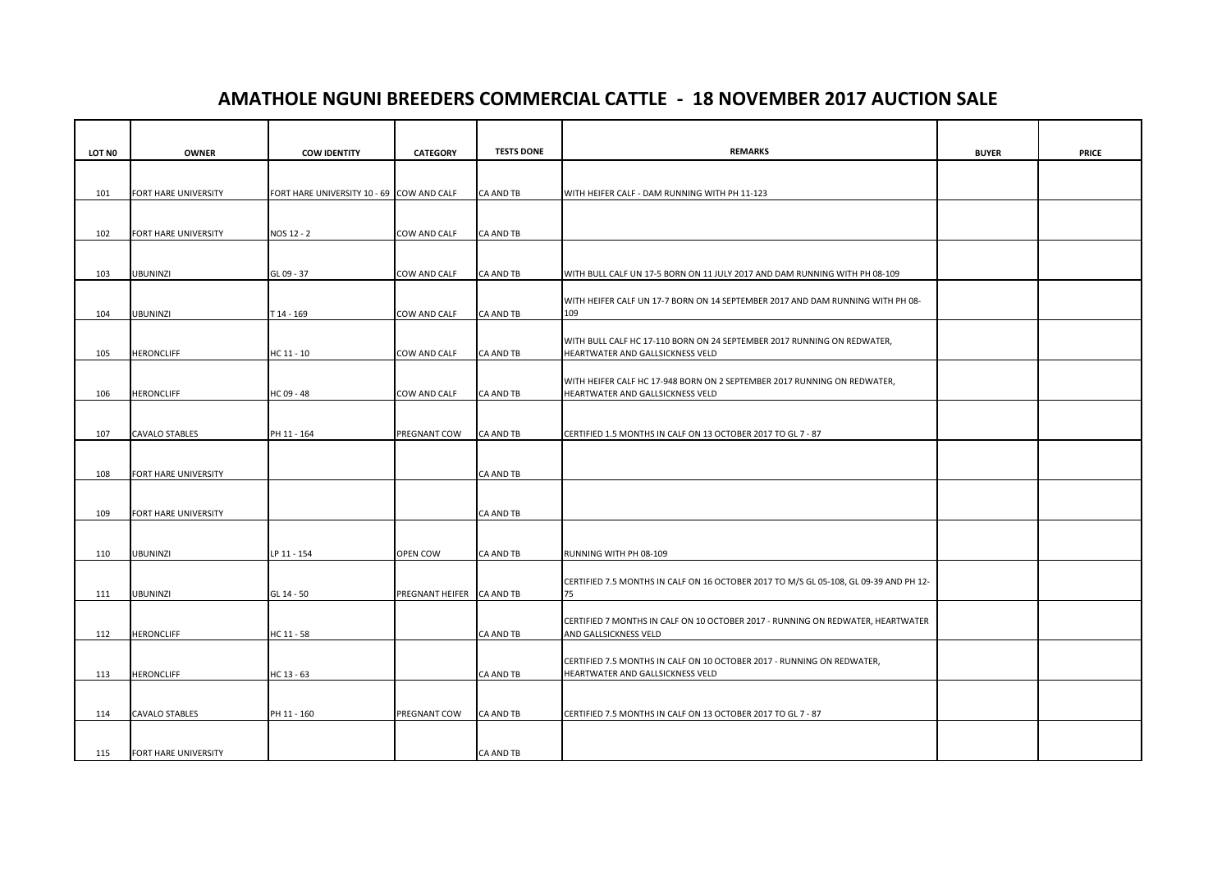## **AMATHOLE NGUNI BREEDERS COMMERCIAL CATTLE - 18 NOVEMBER 2017 AUCTION SALE**

| LOT NO | <b>OWNER</b>          | <b>COW IDENTITY</b>                       | <b>CATEGORY</b>        | <b>TESTS DONE</b> | <b>REMARKS</b>                                                                                               | <b>BUYER</b> | <b>PRICE</b> |
|--------|-----------------------|-------------------------------------------|------------------------|-------------------|--------------------------------------------------------------------------------------------------------------|--------------|--------------|
|        |                       |                                           |                        |                   |                                                                                                              |              |              |
| 101    | FORT HARE UNIVERSITY  | FORT HARE UNIVERSITY 10 - 69 COW AND CALF |                        | <b>CA AND TB</b>  | WITH HEIFER CALF - DAM RUNNING WITH PH 11-123                                                                |              |              |
|        |                       |                                           |                        |                   |                                                                                                              |              |              |
| 102    | FORT HARE UNIVERSITY  | NOS 12 - 2                                | COW AND CALF           | CA AND TB         |                                                                                                              |              |              |
|        |                       |                                           |                        |                   |                                                                                                              |              |              |
|        |                       |                                           |                        |                   |                                                                                                              |              |              |
| 103    | <b>UBUNINZI</b>       | GL 09 - 37                                | COW AND CALF           | <b>CA AND TB</b>  | WITH BULL CALF UN 17-5 BORN ON 11 JULY 2017 AND DAM RUNNING WITH PH 08-109                                   |              |              |
|        |                       |                                           |                        |                   | WITH HEIFER CALF UN 17-7 BORN ON 14 SEPTEMBER 2017 AND DAM RUNNING WITH PH 08-                               |              |              |
| 104    | <b>UBUNINZI</b>       | T14 - 169                                 | COW AND CALF           | <b>CA AND TB</b>  | 109                                                                                                          |              |              |
|        |                       |                                           |                        |                   | WITH BULL CALF HC 17-110 BORN ON 24 SEPTEMBER 2017 RUNNING ON REDWATER,                                      |              |              |
| 105    | <b>HERONCLIFF</b>     | HC 11 - 10                                | COW AND CALF           | CA AND TB         | HEARTWATER AND GALLSICKNESS VELD                                                                             |              |              |
|        |                       |                                           |                        |                   |                                                                                                              |              |              |
| 106    | <b>HERONCLIFF</b>     | HC 09 - 48                                | COW AND CALF           | <b>CA AND TB</b>  | WITH HEIFER CALF HC 17-948 BORN ON 2 SEPTEMBER 2017 RUNNING ON REDWATER,<br>HEARTWATER AND GALLSICKNESS VELD |              |              |
|        |                       |                                           |                        |                   |                                                                                                              |              |              |
|        |                       |                                           |                        |                   |                                                                                                              |              |              |
| 107    | <b>CAVALO STABLES</b> | PH 11 - 164                               | PREGNANT COW           | CA AND TB         | CERTIFIED 1.5 MONTHS IN CALF ON 13 OCTOBER 2017 TO GL 7 - 87                                                 |              |              |
|        |                       |                                           |                        |                   |                                                                                                              |              |              |
| 108    | FORT HARE UNIVERSITY  |                                           |                        | CA AND TB         |                                                                                                              |              |              |
|        |                       |                                           |                        |                   |                                                                                                              |              |              |
| 109    | FORT HARE UNIVERSITY  |                                           |                        | CA AND TB         |                                                                                                              |              |              |
|        |                       |                                           |                        |                   |                                                                                                              |              |              |
|        | <b>UBUNINZI</b>       | LP 11 - 154                               | OPEN COW               |                   |                                                                                                              |              |              |
| 110    |                       |                                           |                        | CA AND TB         | RUNNING WITH PH 08-109                                                                                       |              |              |
|        |                       |                                           |                        |                   | CERTIFIED 7.5 MONTHS IN CALF ON 16 OCTOBER 2017 TO M/S GL 05-108, GL 09-39 AND PH 12-                        |              |              |
| 111    | <b>UBUNINZI</b>       | GL 14 - 50                                | <b>PREGNANT HEIFER</b> | <b>CA AND TB</b>  | 75                                                                                                           |              |              |
|        |                       |                                           |                        |                   | CERTIFIED 7 MONTHS IN CALF ON 10 OCTOBER 2017 - RUNNING ON REDWATER, HEARTWATER                              |              |              |
| 112    | <b>HERONCLIFF</b>     | HC 11 - 58                                |                        | CA AND TB         | AND GALLSICKNESS VELD                                                                                        |              |              |
|        |                       |                                           |                        |                   |                                                                                                              |              |              |
| 113    | <b>HERONCLIFF</b>     | HC 13 - 63                                |                        | <b>CA AND TB</b>  | CERTIFIED 7.5 MONTHS IN CALF ON 10 OCTOBER 2017 - RUNNING ON REDWATER,<br>HEARTWATER AND GALLSICKNESS VELD   |              |              |
|        |                       |                                           |                        |                   |                                                                                                              |              |              |
|        |                       |                                           |                        |                   |                                                                                                              |              |              |
| 114    | <b>CAVALO STABLES</b> | PH 11 - 160                               | PREGNANT COW           | <b>CA AND TB</b>  | CERTIFIED 7.5 MONTHS IN CALF ON 13 OCTOBER 2017 TO GL 7 - 87                                                 |              |              |
|        |                       |                                           |                        |                   |                                                                                                              |              |              |
| 115    | FORT HARE UNIVERSITY  |                                           |                        | <b>CA AND TB</b>  |                                                                                                              |              |              |